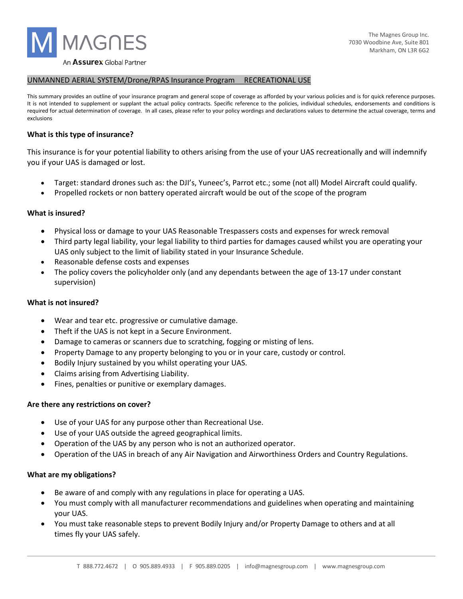

#### UNMANNED AERIAL SYSTEM/Drone/RPAS Insurance Program RECREATIONAL USE

This summary provides an outline of your insurance program and general scope of coverage as afforded by your various policies and is for quick reference purposes. It is not intended to supplement or supplant the actual policy contracts. Specific reference to the policies, individual schedules, endorsements and conditions is required for actual determination of coverage. In all cases, please refer to your policy wordings and declarations values to determine the actual coverage, terms and exclusions

#### **What is this type of insurance?**

This insurance is for your potential liability to others arising from the use of your UAS recreationally and will indemnify you if your UAS is damaged or lost.

- Target: standard drones such as: the DJI's, Yuneec's, Parrot etc.; some (not all) Model Aircraft could qualify.
- Propelled rockets or non battery operated aircraft would be out of the scope of the program

### **What is insured?**

- Physical loss or damage to your UAS Reasonable Trespassers costs and expenses for wreck removal
- Third party legal liability, your legal liability to third parties for damages caused whilst you are operating your UAS only subject to the limit of liability stated in your Insurance Schedule.
- Reasonable defense costs and expenses
- The policy covers the policyholder only (and any dependants between the age of 13-17 under constant supervision)

### **What is not insured?**

- Wear and tear etc. progressive or cumulative damage.
- Theft if the UAS is not kept in a Secure Environment.
- Damage to cameras or scanners due to scratching, fogging or misting of lens.
- Property Damage to any property belonging to you or in your care, custody or control.
- Bodily Injury sustained by you whilst operating your UAS.
- Claims arising from Advertising Liability.
- Fines, penalties or punitive or exemplary damages.

### **Are there any restrictions on cover?**

- Use of your UAS for any purpose other than Recreational Use.
- Use of your UAS outside the agreed geographical limits.
- Operation of the UAS by any person who is not an authorized operator.
- Operation of the UAS in breach of any Air Navigation and Airworthiness Orders and Country Regulations.

### **What are my obligations?**

- Be aware of and comply with any regulations in place for operating a UAS.
- You must comply with all manufacturer recommendations and guidelines when operating and maintaining your UAS.
- You must take reasonable steps to prevent Bodily Injury and/or Property Damage to others and at all times fly your UAS safely.